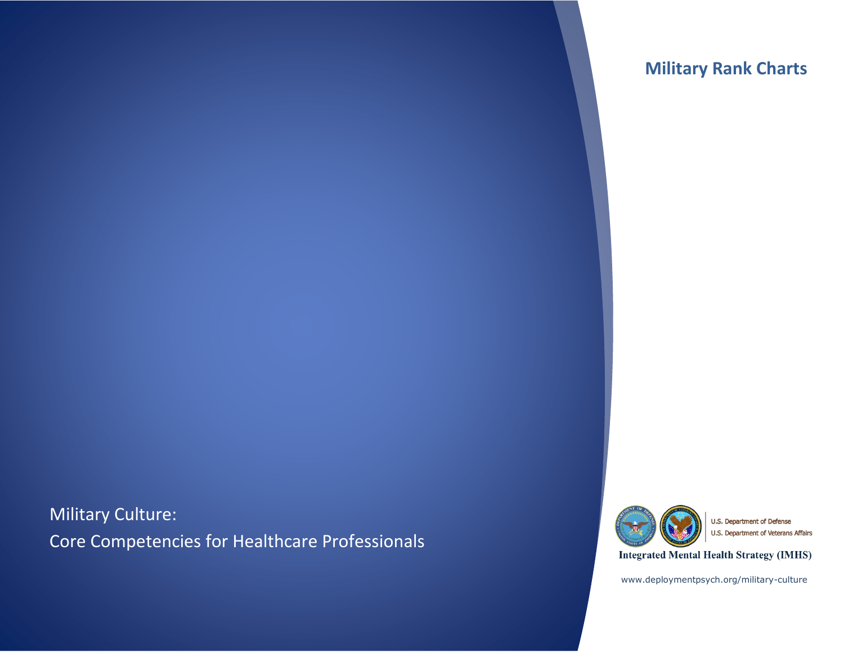# **Military Rank Charts**

Military Culture: Core Competencies for Healthcare Professionals



U.S. Department of Defense U.S. Department of Veterans Affairs

**Integrated Mental Health Strategy (IMHS)** 

www.deploymentpsych.org/military-culture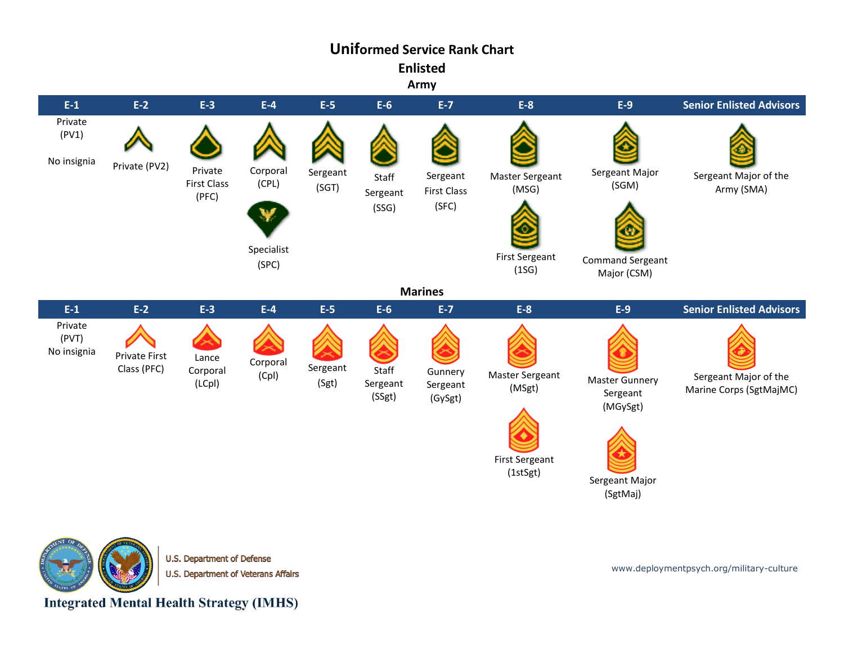# **Uniformed Service Rank Chart**

**Enlisted**

**Army**





U.S. Department of Defense U.S. Department of Veterans Affairs

www.deploymentpsych.org/military-culture

**Integrated Mental Health Strategy (IMHS)**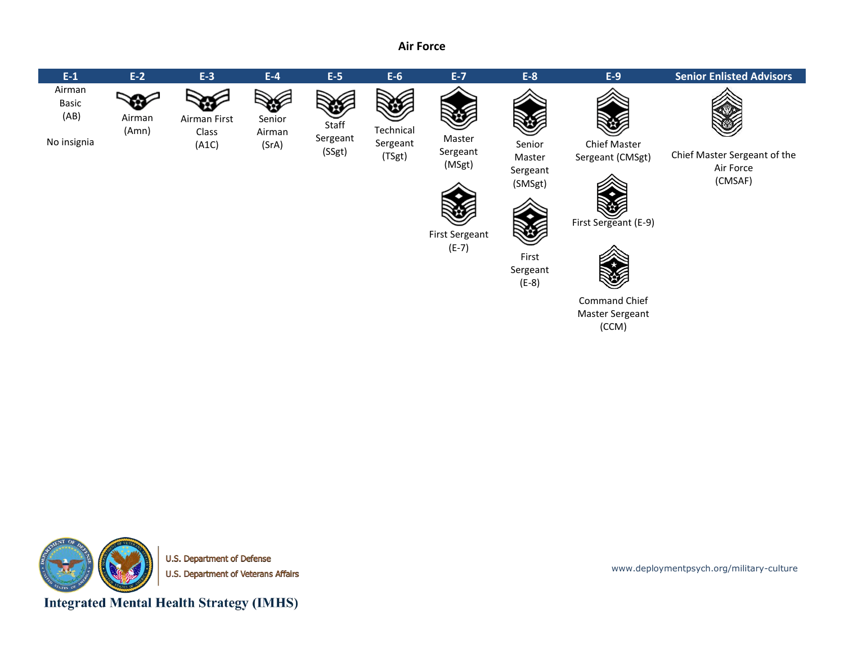#### **Air Force**





U.S. Department of Defense U.S. Department of Veterans Affairs

**Integrated Mental Health Strategy (IMHS)** 

www.deploymentpsych.org/military-culture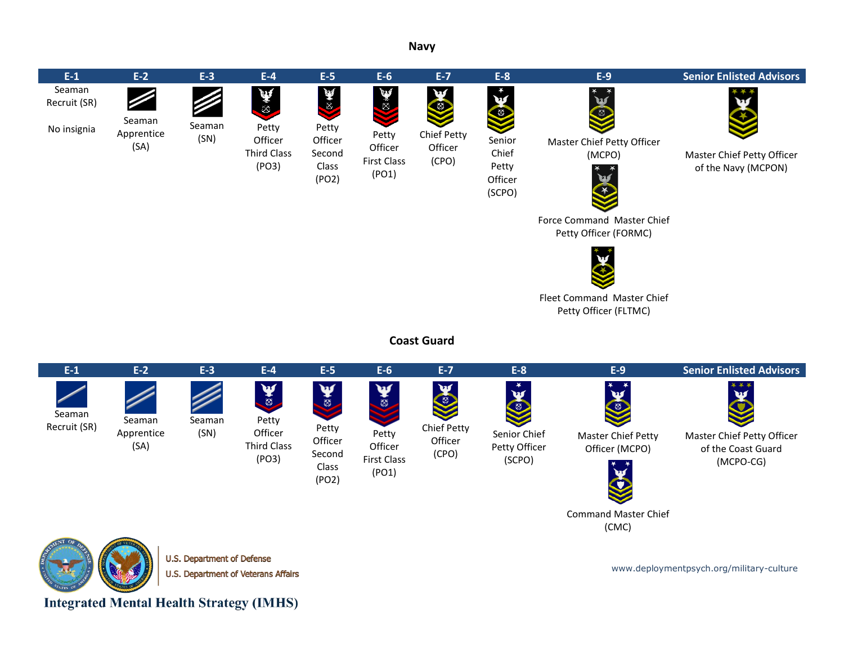**Navy**



U.S. Department of Veterans Affairs

www.deploymentpsych.org/military-culture

**Integrated Mental Health Strategy (IMHS)**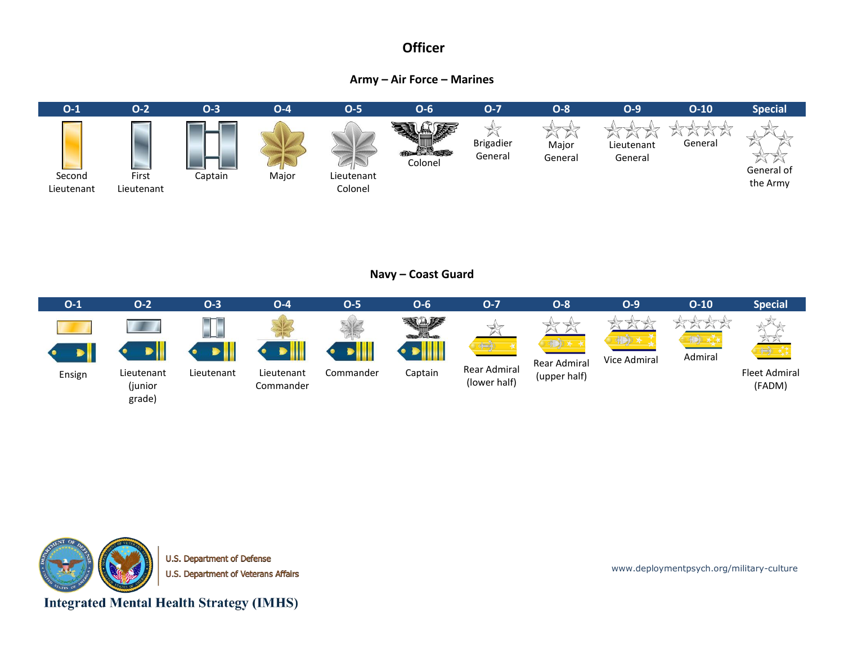### **Officer**

### **Army – Air Force – Marines**



### **Navy – Coast Guard**





U.S. Department of Defense U.S. Department of Veterans Affairs

www.deploymentpsych.org/military-culture

**Integrated Mental Health Strategy (IMHS)**